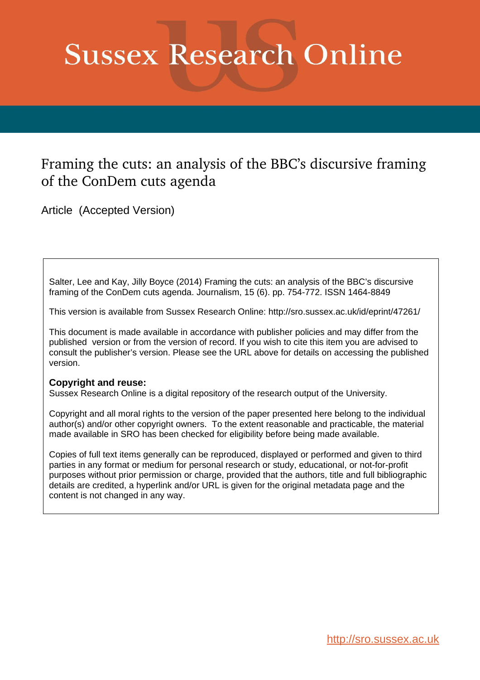# **Sussex Research Online**

# Framing the cuts: an analysis of the BBC's discursive framing of the ConDem cuts agenda

Article (Accepted Version)

Salter, Lee and Kay, Jilly Boyce (2014) Framing the cuts: an analysis of the BBC's discursive framing of the ConDem cuts agenda. Journalism, 15 (6). pp. 754-772. ISSN 1464-8849

This version is available from Sussex Research Online: http://sro.sussex.ac.uk/id/eprint/47261/

This document is made available in accordance with publisher policies and may differ from the published version or from the version of record. If you wish to cite this item you are advised to consult the publisher's version. Please see the URL above for details on accessing the published version.

# **Copyright and reuse:**

Sussex Research Online is a digital repository of the research output of the University.

Copyright and all moral rights to the version of the paper presented here belong to the individual author(s) and/or other copyright owners. To the extent reasonable and practicable, the material made available in SRO has been checked for eligibility before being made available.

Copies of full text items generally can be reproduced, displayed or performed and given to third parties in any format or medium for personal research or study, educational, or not-for-profit purposes without prior permission or charge, provided that the authors, title and full bibliographic details are credited, a hyperlink and/or URL is given for the original metadata page and the content is not changed in any way.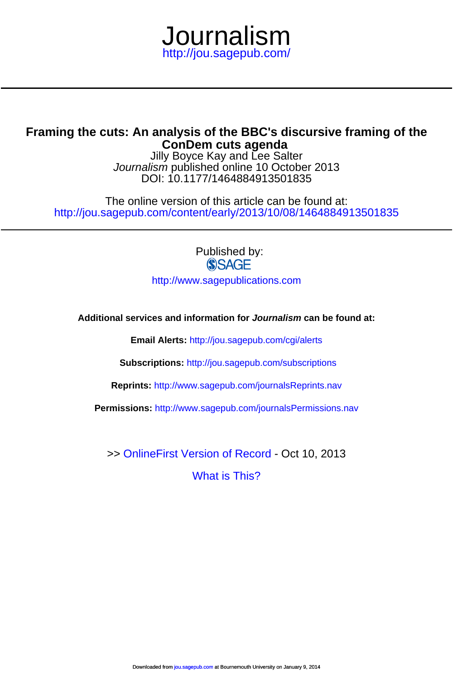

# **ConDem cuts agenda Framing the cuts: An analysis of the BBC's discursive framing of the**

DOI: 10.1177/1464884913501835 Journalism published online 10 October 2013 Jilly Boyce Kay and Lee Salter

<http://jou.sagepub.com/content/early/2013/10/08/1464884913501835> The online version of this article can be found at:

[Published by:](http://online.sagepub.com/site/sphelp/vorhelp.xhtml)<br>
SAGE

<http://www.sagepublications.com>

**Additional services and information for Journalism can be found at:**

**Email Alerts:** <http://jou.sagepub.com/cgi/alerts>

**Subscriptions:** <http://jou.sagepub.com/subscriptions>

**Reprints:** <http://www.sagepub.com/journalsReprints.nav>

**Permissions:** <http://www.sagepub.com/journalsPermissions.nav>

>> [OnlineFirst Version of Record -](http://jou.sagepub.com/content/early/2013/10/08/1464884913501835.full.pdf) Oct 10, 2013

[What is This?](http://online.sagepub.com/site/sphelp/vorhelp.xhtml)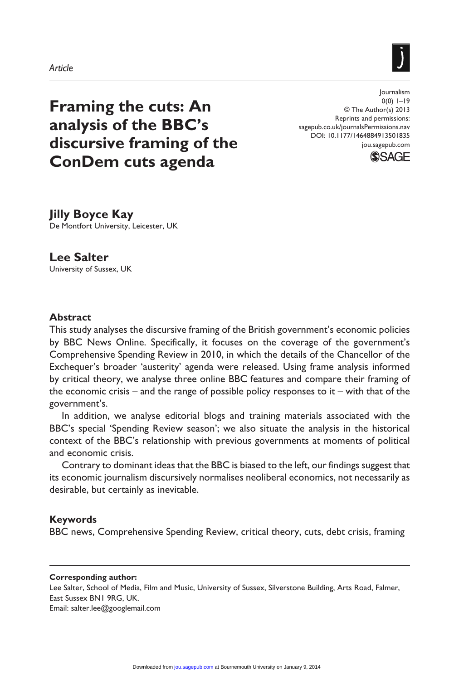

# **Framing the cuts: An analysis of the BBC's discursive framing of the ConDem cuts agenda**

Journalism  $0(0)$  1–19 © The Author(s) 2013 Reprints and permissions: sagepub.co.uk/journalsPermissions.nav DOI: 10.1177/1464884913501835 jou.sagepub.com



# **Jilly Boyce Kay**

De Montfort University, Leicester, UK

#### **Lee Salter**

University of Sussex, UK

#### **Abstract**

This study analyses the discursive framing of the British government's economic policies by BBC News Online. Specifically, it focuses on the coverage of the government's Comprehensive Spending Review in 2010, in which the details of the Chancellor of the Exchequer's broader 'austerity' agenda were released. Using frame analysis informed by critical theory, we analyse three online BBC features and compare their framing of the economic crisis – and the range of possible policy responses to it – with that of the government's.

In addition, we analyse editorial blogs and training materials associated with the BBC's special 'Spending Review season'; we also situate the analysis in the historical context of the BBC's relationship with previous governments at moments of political and economic crisis.

Contrary to dominant ideas that the BBC is biased to the left, our findings suggest that its economic journalism discursively normalises neoliberal economics, not necessarily as desirable, but certainly as inevitable.

#### **Keywords**

BBC news, Comprehensive Spending Review, critical theory, cuts, debt crisis, framing

#### **Corresponding author:**

Lee Salter, School of Media, Film and Music, University of Sussex, Silverstone Building, Arts Road, Falmer, East Sussex BN1 9RG, UK. Email: salter.lee@googlemail.com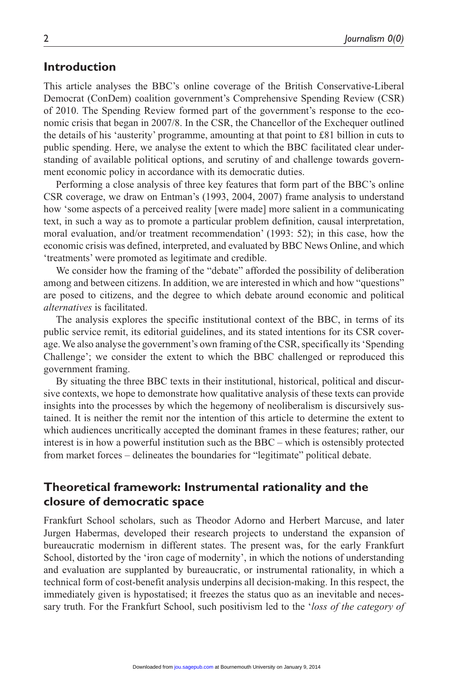#### **Introduction**

This article analyses the BBC's online coverage of the British Conservative-Liberal Democrat (ConDem) coalition government's Comprehensive Spending Review (CSR) of 2010. The Spending Review formed part of the government's response to the economic crisis that began in 2007/8. In the CSR, the Chancellor of the Exchequer outlined the details of his 'austerity' programme, amounting at that point to £81 billion in cuts to public spending. Here, we analyse the extent to which the BBC facilitated clear understanding of available political options, and scrutiny of and challenge towards government economic policy in accordance with its democratic duties.

Performing a close analysis of three key features that form part of the BBC's online CSR coverage, we draw on Entman's (1993, 2004, 2007) frame analysis to understand how 'some aspects of a perceived reality [were made] more salient in a communicating text, in such a way as to promote a particular problem definition, causal interpretation, moral evaluation, and/or treatment recommendation' (1993: 52); in this case, how the economic crisis was defined, interpreted, and evaluated by BBC News Online, and which 'treatments' were promoted as legitimate and credible.

We consider how the framing of the "debate" afforded the possibility of deliberation among and between citizens. In addition, we are interested in which and how "questions" are posed to citizens, and the degree to which debate around economic and political *alternatives* is facilitated.

The analysis explores the specific institutional context of the BBC, in terms of its public service remit, its editorial guidelines, and its stated intentions for its CSR coverage. We also analyse the government's own framing of the CSR, specifically its 'Spending Challenge'; we consider the extent to which the BBC challenged or reproduced this government framing.

By situating the three BBC texts in their institutional, historical, political and discursive contexts, we hope to demonstrate how qualitative analysis of these texts can provide insights into the processes by which the hegemony of neoliberalism is discursively sustained. It is neither the remit nor the intention of this article to determine the extent to which audiences uncritically accepted the dominant frames in these features; rather, our interest is in how a powerful institution such as the BBC – which is ostensibly protected from market forces – delineates the boundaries for "legitimate" political debate.

## **Theoretical framework: Instrumental rationality and the closure of democratic space**

Frankfurt School scholars, such as Theodor Adorno and Herbert Marcuse, and later Jurgen Habermas, developed their research projects to understand the expansion of bureaucratic modernism in different states. The present was, for the early Frankfurt School, distorted by the 'iron cage of modernity', in which the notions of understanding and evaluation are supplanted by bureaucratic, or instrumental rationality, in which a technical form of cost-benefit analysis underpins all decision-making. In this respect, the immediately given is hypostatised; it freezes the status quo as an inevitable and necessary truth. For the Frankfurt School, such positivism led to the '*loss of the category of*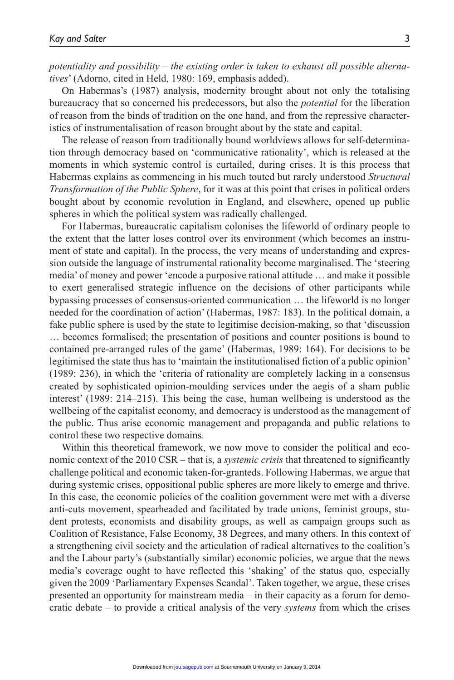*potentiality and possibility – the existing order is taken to exhaust all possible alternatives*' (Adorno, cited in Held, 1980: 169, emphasis added).

On Habermas's (1987) analysis, modernity brought about not only the totalising bureaucracy that so concerned his predecessors, but also the *potential* for the liberation of reason from the binds of tradition on the one hand, and from the repressive characteristics of instrumentalisation of reason brought about by the state and capital.

The release of reason from traditionally bound worldviews allows for self-determination through democracy based on 'communicative rationality', which is released at the moments in which systemic control is curtailed, during crises. It is this process that Habermas explains as commencing in his much touted but rarely understood *Structural Transformation of the Public Sphere*, for it was at this point that crises in political orders bought about by economic revolution in England, and elsewhere, opened up public spheres in which the political system was radically challenged.

For Habermas, bureaucratic capitalism colonises the lifeworld of ordinary people to the extent that the latter loses control over its environment (which becomes an instrument of state and capital). In the process, the very means of understanding and expression outside the language of instrumental rationality become marginalised. The 'steering media' of money and power 'encode a purposive rational attitude … and make it possible to exert generalised strategic influence on the decisions of other participants while bypassing processes of consensus-oriented communication … the lifeworld is no longer needed for the coordination of action' (Habermas, 1987: 183). In the political domain, a fake public sphere is used by the state to legitimise decision-making, so that 'discussion … becomes formalised; the presentation of positions and counter positions is bound to contained pre-arranged rules of the game' (Habermas, 1989: 164). For decisions to be legitimised the state thus has to 'maintain the institutionalised fiction of a public opinion' (1989: 236), in which the 'criteria of rationality are completely lacking in a consensus created by sophisticated opinion-moulding services under the aegis of a sham public interest' (1989: 214–215). This being the case, human wellbeing is understood as the wellbeing of the capitalist economy, and democracy is understood as the management of the public. Thus arise economic management and propaganda and public relations to control these two respective domains.

Within this theoretical framework, we now move to consider the political and economic context of the 2010 CSR – that is, a *systemic crisis* that threatened to significantly challenge political and economic taken-for-granteds. Following Habermas, we argue that during systemic crises, oppositional public spheres are more likely to emerge and thrive. In this case, the economic policies of the coalition government were met with a diverse anti-cuts movement, spearheaded and facilitated by trade unions, feminist groups, student protests, economists and disability groups, as well as campaign groups such as Coalition of Resistance, False Economy, 38 Degrees, and many others. In this context of a strengthening civil society and the articulation of radical alternatives to the coalition's and the Labour party's (substantially similar) economic policies, we argue that the news media's coverage ought to have reflected this 'shaking' of the status quo, especially given the 2009 'Parliamentary Expenses Scandal'. Taken together, we argue, these crises presented an opportunity for mainstream media – in their capacity as a forum for democratic debate – to provide a critical analysis of the very *systems* from which the crises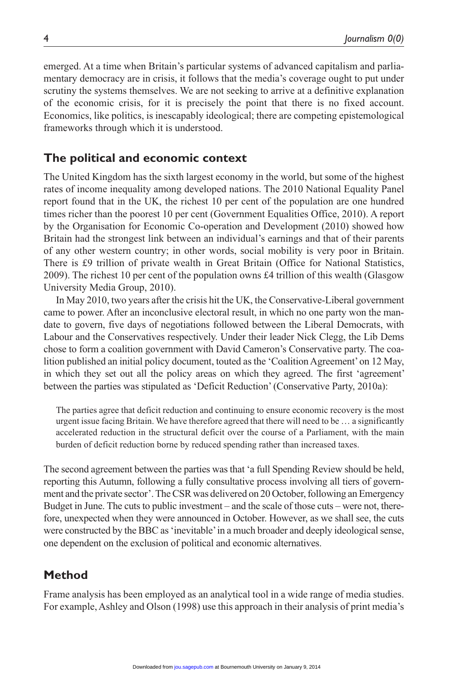emerged. At a time when Britain's particular systems of advanced capitalism and parliamentary democracy are in crisis, it follows that the media's coverage ought to put under scrutiny the systems themselves. We are not seeking to arrive at a definitive explanation of the economic crisis, for it is precisely the point that there is no fixed account. Economics, like politics, is inescapably ideological; there are competing epistemological frameworks through which it is understood.

### **The political and economic context**

The United Kingdom has the sixth largest economy in the world, but some of the highest rates of income inequality among developed nations. The 2010 National Equality Panel report found that in the UK, the richest 10 per cent of the population are one hundred times richer than the poorest 10 per cent (Government Equalities Office, 2010). A report by the Organisation for Economic Co-operation and Development (2010) showed how Britain had the strongest link between an individual's earnings and that of their parents of any other western country; in other words, social mobility is very poor in Britain. There is £9 trillion of private wealth in Great Britain (Office for National Statistics, 2009). The richest 10 per cent of the population owns £4 trillion of this wealth (Glasgow University Media Group, 2010).

In May 2010, two years after the crisis hit the UK, the Conservative-Liberal government came to power. After an inconclusive electoral result, in which no one party won the mandate to govern, five days of negotiations followed between the Liberal Democrats, with Labour and the Conservatives respectively. Under their leader Nick Clegg, the Lib Dems chose to form a coalition government with David Cameron's Conservative party. The coalition published an initial policy document, touted as the 'Coalition Agreement' on 12 May, in which they set out all the policy areas on which they agreed. The first 'agreement' between the parties was stipulated as 'Deficit Reduction' (Conservative Party, 2010a):

The parties agree that deficit reduction and continuing to ensure economic recovery is the most urgent issue facing Britain. We have therefore agreed that there will need to be … a significantly accelerated reduction in the structural deficit over the course of a Parliament, with the main burden of deficit reduction borne by reduced spending rather than increased taxes.

The second agreement between the parties was that 'a full Spending Review should be held, reporting this Autumn, following a fully consultative process involving all tiers of government and the private sector'. The CSR was delivered on 20 October, following an Emergency Budget in June. The cuts to public investment – and the scale of those cuts – were not, therefore, unexpected when they were announced in October. However, as we shall see, the cuts were constructed by the BBC as 'inevitable' in a much broader and deeply ideological sense, one dependent on the exclusion of political and economic alternatives.

## **Method**

Frame analysis has been employed as an analytical tool in a wide range of media studies. For example, Ashley and Olson (1998) use this approach in their analysis of print media's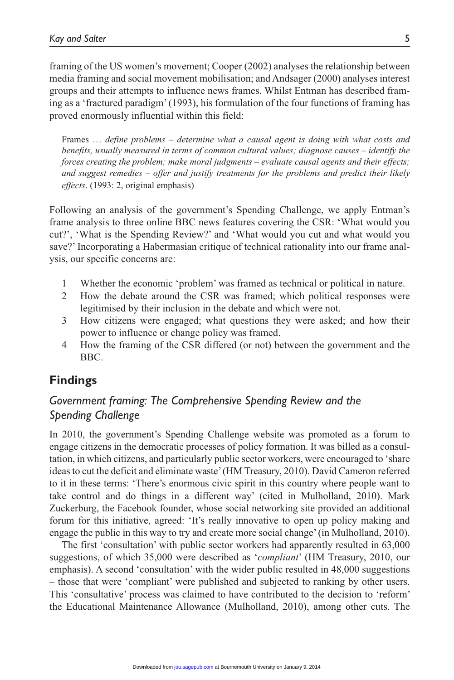framing of the US women's movement; Cooper (2002) analyses the relationship between media framing and social movement mobilisation; and Andsager (2000) analyses interest groups and their attempts to influence news frames. Whilst Entman has described framing as a 'fractured paradigm' (1993), his formulation of the four functions of framing has proved enormously influential within this field:

Frames … *define problems – determine what a causal agent is doing with what costs and benefits, usually measured in terms of common cultural values; diagnose causes – identify the forces creating the problem; make moral judgments – evaluate causal agents and their effects; and suggest remedies – offer and justify treatments for the problems and predict their likely effects*. (1993: 2, original emphasis)

Following an analysis of the government's Spending Challenge, we apply Entman's frame analysis to three online BBC news features covering the CSR: 'What would you cut?', 'What is the Spending Review?' and 'What would you cut and what would you save?' Incorporating a Habermasian critique of technical rationality into our frame analysis, our specific concerns are:

- 1 Whether the economic 'problem' was framed as technical or political in nature.
- 2 How the debate around the CSR was framed; which political responses were legitimised by their inclusion in the debate and which were not.
- 3 How citizens were engaged; what questions they were asked; and how their power to influence or change policy was framed.
- 4 How the framing of the CSR differed (or not) between the government and the BBC.

## **Findings**

# *Government framing: The Comprehensive Spending Review and the Spending Challenge*

In 2010, the government's Spending Challenge website was promoted as a forum to engage citizens in the democratic processes of policy formation. It was billed as a consultation, in which citizens, and particularly public sector workers, were encouraged to 'share ideas to cut the deficit and eliminate waste' (HM Treasury, 2010). David Cameron referred to it in these terms: 'There's enormous civic spirit in this country where people want to take control and do things in a different way' (cited in Mulholland, 2010). Mark Zuckerburg, the Facebook founder, whose social networking site provided an additional forum for this initiative, agreed: 'It's really innovative to open up policy making and engage the public in this way to try and create more social change' (in Mulholland, 2010).

The first 'consultation' with public sector workers had apparently resulted in 63,000 suggestions, of which 35,000 were described as '*compliant*' (HM Treasury, 2010, our emphasis). A second 'consultation' with the wider public resulted in 48,000 suggestions – those that were 'compliant' were published and subjected to ranking by other users. This 'consultative' process was claimed to have contributed to the decision to 'reform' the Educational Maintenance Allowance (Mulholland, 2010), among other cuts. The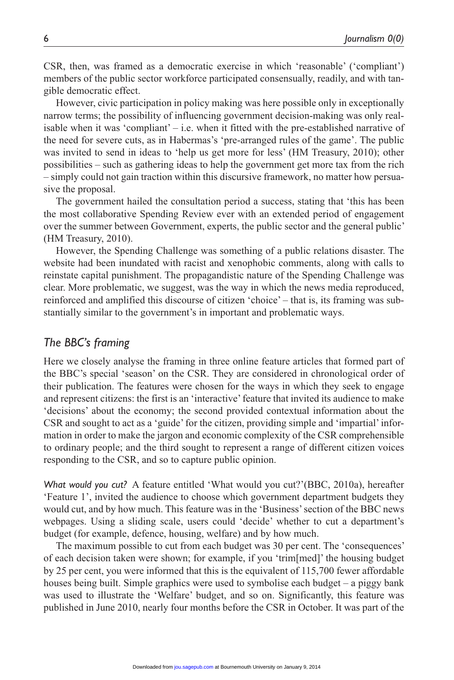CSR, then, was framed as a democratic exercise in which 'reasonable' ('compliant') members of the public sector workforce participated consensually, readily, and with tangible democratic effect.

However, civic participation in policy making was here possible only in exceptionally narrow terms; the possibility of influencing government decision-making was only realisable when it was 'compliant' – i.e. when it fitted with the pre-established narrative of the need for severe cuts, as in Habermas's 'pre-arranged rules of the game'. The public was invited to send in ideas to 'help us get more for less' (HM Treasury, 2010); other possibilities – such as gathering ideas to help the government get more tax from the rich – simply could not gain traction within this discursive framework, no matter how persuasive the proposal.

The government hailed the consultation period a success, stating that 'this has been the most collaborative Spending Review ever with an extended period of engagement over the summer between Government, experts, the public sector and the general public' (HM Treasury, 2010).

However, the Spending Challenge was something of a public relations disaster. The website had been inundated with racist and xenophobic comments, along with calls to reinstate capital punishment. The propagandistic nature of the Spending Challenge was clear. More problematic, we suggest, was the way in which the news media reproduced, reinforced and amplified this discourse of citizen 'choice' – that is, its framing was substantially similar to the government's in important and problematic ways.

#### *The BBC's framing*

Here we closely analyse the framing in three online feature articles that formed part of the BBC's special 'season' on the CSR. They are considered in chronological order of their publication. The features were chosen for the ways in which they seek to engage and represent citizens: the first is an 'interactive' feature that invited its audience to make 'decisions' about the economy; the second provided contextual information about the CSR and sought to act as a 'guide' for the citizen, providing simple and 'impartial' information in order to make the jargon and economic complexity of the CSR comprehensible to ordinary people; and the third sought to represent a range of different citizen voices responding to the CSR, and so to capture public opinion.

*What would you cut?* A feature entitled 'What would you cut?'(BBC, 2010a), hereafter 'Feature 1', invited the audience to choose which government department budgets they would cut, and by how much. This feature was in the 'Business' section of the BBC news webpages. Using a sliding scale, users could 'decide' whether to cut a department's budget (for example, defence, housing, welfare) and by how much.

The maximum possible to cut from each budget was 30 per cent. The 'consequences' of each decision taken were shown; for example, if you 'trim[med]' the housing budget by 25 per cent, you were informed that this is the equivalent of 115,700 fewer affordable houses being built. Simple graphics were used to symbolise each budget – a piggy bank was used to illustrate the 'Welfare' budget, and so on. Significantly, this feature was published in June 2010, nearly four months before the CSR in October. It was part of the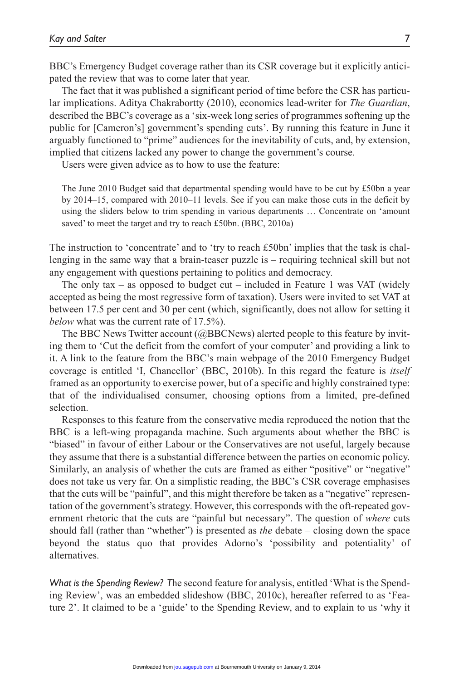BBC's Emergency Budget coverage rather than its CSR coverage but it explicitly anticipated the review that was to come later that year.

The fact that it was published a significant period of time before the CSR has particular implications. Aditya Chakrabortty (2010), economics lead-writer for *The Guardian*, described the BBC's coverage as a 'six-week long series of programmes softening up the public for [Cameron's] government's spending cuts'. By running this feature in June it arguably functioned to "prime" audiences for the inevitability of cuts, and, by extension, implied that citizens lacked any power to change the government's course.

Users were given advice as to how to use the feature:

The June 2010 Budget said that departmental spending would have to be cut by £50bn a year by 2014–15, compared with 2010–11 levels. See if you can make those cuts in the deficit by using the sliders below to trim spending in various departments … Concentrate on 'amount saved' to meet the target and try to reach £50bn. (BBC, 2010a)

The instruction to 'concentrate' and to 'try to reach £50bn' implies that the task is challenging in the same way that a brain-teaser puzzle is – requiring technical skill but not any engagement with questions pertaining to politics and democracy.

The only tax – as opposed to budget cut – included in Feature 1 was VAT (widely accepted as being the most regressive form of taxation). Users were invited to set VAT at between 17.5 per cent and 30 per cent (which, significantly, does not allow for setting it *below* what was the current rate of 17.5%).

The BBC News Twitter account (@BBCNews) alerted people to this feature by inviting them to 'Cut the deficit from the comfort of your computer' and providing a link to it. A link to the feature from the BBC's main webpage of the 2010 Emergency Budget coverage is entitled 'I, Chancellor' (BBC, 2010b). In this regard the feature is *itself* framed as an opportunity to exercise power, but of a specific and highly constrained type: that of the individualised consumer, choosing options from a limited, pre-defined selection.

Responses to this feature from the conservative media reproduced the notion that the BBC is a left-wing propaganda machine. Such arguments about whether the BBC is "biased" in favour of either Labour or the Conservatives are not useful, largely because they assume that there is a substantial difference between the parties on economic policy. Similarly, an analysis of whether the cuts are framed as either "positive" or "negative" does not take us very far. On a simplistic reading, the BBC's CSR coverage emphasises that the cuts will be "painful", and this might therefore be taken as a "negative" representation of the government's strategy. However, this corresponds with the oft-repeated government rhetoric that the cuts are "painful but necessary". The question of *where* cuts should fall (rather than "whether") is presented as *the* debate – closing down the space beyond the status quo that provides Adorno's 'possibility and potentiality' of alternatives.

*What is the Spending Review? T*he second feature for analysis, entitled 'What is the Spending Review', was an embedded slideshow (BBC, 2010c), hereafter referred to as 'Feature 2'. It claimed to be a 'guide' to the Spending Review, and to explain to us 'why it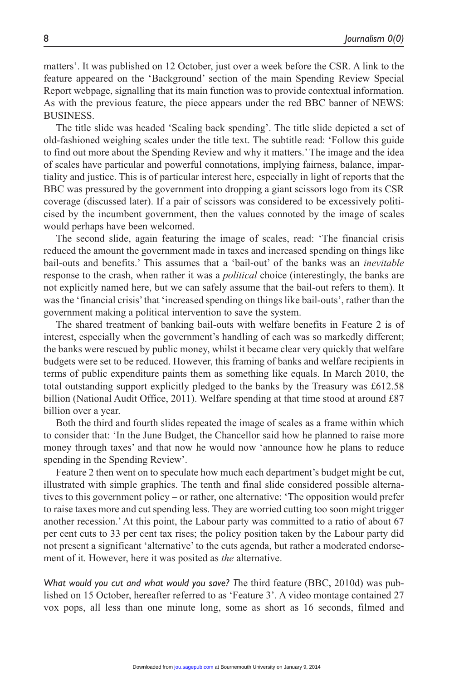matters'. It was published on 12 October, just over a week before the CSR. A link to the feature appeared on the 'Background' section of the main Spending Review Special Report webpage, signalling that its main function was to provide contextual information. As with the previous feature, the piece appears under the red BBC banner of NEWS: BUSINESS.

The title slide was headed 'Scaling back spending'. The title slide depicted a set of old-fashioned weighing scales under the title text. The subtitle read: 'Follow this guide to find out more about the Spending Review and why it matters.' The image and the idea of scales have particular and powerful connotations, implying fairness, balance, impartiality and justice. This is of particular interest here, especially in light of reports that the BBC was pressured by the government into dropping a giant scissors logo from its CSR coverage (discussed later). If a pair of scissors was considered to be excessively politicised by the incumbent government, then the values connoted by the image of scales would perhaps have been welcomed.

The second slide, again featuring the image of scales, read: 'The financial crisis reduced the amount the government made in taxes and increased spending on things like bail-outs and benefits.' This assumes that a 'bail-out' of the banks was an *inevitable* response to the crash, when rather it was a *political* choice (interestingly, the banks are not explicitly named here, but we can safely assume that the bail-out refers to them). It was the 'financial crisis' that 'increased spending on things like bail-outs', rather than the government making a political intervention to save the system.

The shared treatment of banking bail-outs with welfare benefits in Feature 2 is of interest, especially when the government's handling of each was so markedly different; the banks were rescued by public money, whilst it became clear very quickly that welfare budgets were set to be reduced. However, this framing of banks and welfare recipients in terms of public expenditure paints them as something like equals. In March 2010, the total outstanding support explicitly pledged to the banks by the Treasury was £612.58 billion (National Audit Office, 2011). Welfare spending at that time stood at around £87 billion over a year.

Both the third and fourth slides repeated the image of scales as a frame within which to consider that: 'In the June Budget, the Chancellor said how he planned to raise more money through taxes' and that now he would now 'announce how he plans to reduce spending in the Spending Review'.

Feature 2 then went on to speculate how much each department's budget might be cut, illustrated with simple graphics. The tenth and final slide considered possible alternatives to this government policy – or rather, one alternative: 'The opposition would prefer to raise taxes more and cut spending less. They are worried cutting too soon might trigger another recession.' At this point, the Labour party was committed to a ratio of about 67 per cent cuts to 33 per cent tax rises; the policy position taken by the Labour party did not present a significant 'alternative' to the cuts agenda, but rather a moderated endorsement of it. However, here it was posited as *the* alternative.

*What would you cut and what would you save? T*he third feature (BBC, 2010d) was published on 15 October, hereafter referred to as 'Feature 3'. A video montage contained 27 vox pops, all less than one minute long, some as short as 16 seconds, filmed and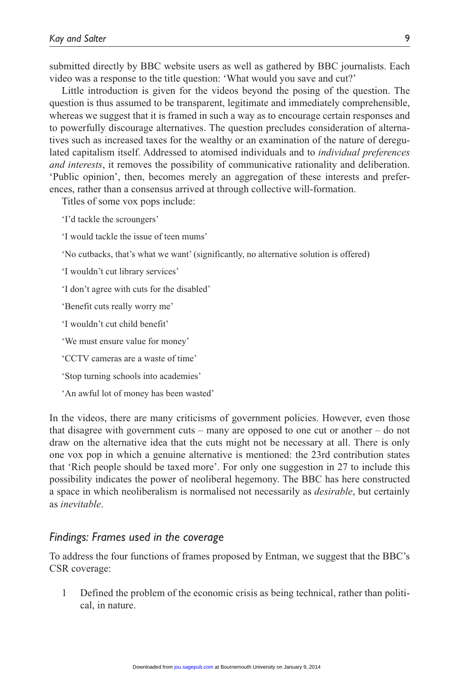submitted directly by BBC website users as well as gathered by BBC journalists. Each video was a response to the title question: 'What would you save and cut?'

Little introduction is given for the videos beyond the posing of the question. The question is thus assumed to be transparent, legitimate and immediately comprehensible, whereas we suggest that it is framed in such a way as to encourage certain responses and to powerfully discourage alternatives. The question precludes consideration of alternatives such as increased taxes for the wealthy or an examination of the nature of deregulated capitalism itself. Addressed to atomised individuals and to *individual preferences and interests*, it removes the possibility of communicative rationality and deliberation. 'Public opinion', then, becomes merely an aggregation of these interests and preferences, rather than a consensus arrived at through collective will-formation.

Titles of some vox pops include:

'I'd tackle the scroungers'

'I would tackle the issue of teen mums'

'No cutbacks, that's what we want' (significantly, no alternative solution is offered)

'I wouldn't cut library services'

'I don't agree with cuts for the disabled'

'Benefit cuts really worry me'

'I wouldn't cut child benefit'

'We must ensure value for money'

'CCTV cameras are a waste of time'

'Stop turning schools into academies'

'An awful lot of money has been wasted'

In the videos, there are many criticisms of government policies. However, even those that disagree with government cuts – many are opposed to one cut or another – do not draw on the alternative idea that the cuts might not be necessary at all. There is only one vox pop in which a genuine alternative is mentioned: the 23rd contribution states that 'Rich people should be taxed more'. For only one suggestion in 27 to include this possibility indicates the power of neoliberal hegemony. The BBC has here constructed a space in which neoliberalism is normalised not necessarily as *desirable*, but certainly as *inevitable*.

#### *Findings: Frames used in the coverage*

To address the four functions of frames proposed by Entman, we suggest that the BBC's CSR coverage:

1 Defined the problem of the economic crisis as being technical, rather than political, in nature.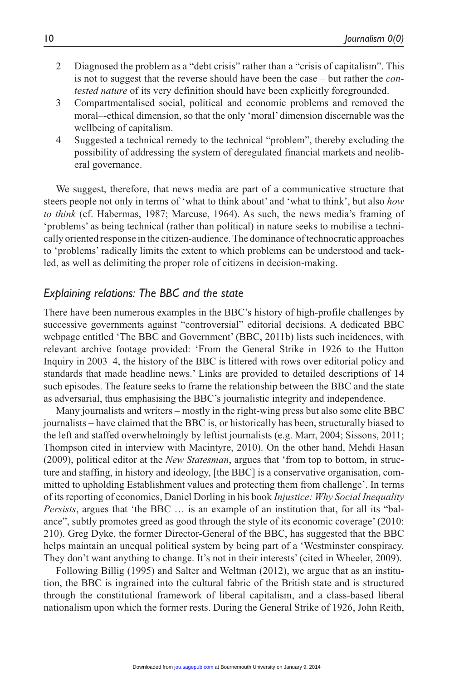- 2 Diagnosed the problem as a "debt crisis" rather than a "crisis of capitalism". This is not to suggest that the reverse should have been the case – but rather the *contested nature* of its very definition should have been explicitly foregrounded.
- 3 Compartmentalised social, political and economic problems and removed the moral–-ethical dimension, so that the only 'moral' dimension discernable was the wellbeing of capitalism.
- 4 Suggested a technical remedy to the technical "problem", thereby excluding the possibility of addressing the system of deregulated financial markets and neoliberal governance.

We suggest, therefore, that news media are part of a communicative structure that steers people not only in terms of 'what to think about' and 'what to think', but also *how to think* (cf. Habermas, 1987; Marcuse, 1964). As such, the news media's framing of 'problems' as being technical (rather than political) in nature seeks to mobilise a technically oriented response in the citizen-audience. The dominance of technocratic approaches to 'problems' radically limits the extent to which problems can be understood and tackled, as well as delimiting the proper role of citizens in decision-making.

#### *Explaining relations: The BBC and the state*

There have been numerous examples in the BBC's history of high-profile challenges by successive governments against "controversial" editorial decisions. A dedicated BBC webpage entitled 'The BBC and Government' (BBC, 2011b) lists such incidences, with relevant archive footage provided: 'From the General Strike in 1926 to the Hutton Inquiry in 2003–4, the history of the BBC is littered with rows over editorial policy and standards that made headline news.' Links are provided to detailed descriptions of 14 such episodes. The feature seeks to frame the relationship between the BBC and the state as adversarial, thus emphasising the BBC's journalistic integrity and independence.

Many journalists and writers – mostly in the right-wing press but also some elite BBC journalists – have claimed that the BBC is, or historically has been, structurally biased to the left and staffed overwhelmingly by leftist journalists (e.g. Marr, 2004; Sissons, 2011; Thompson cited in interview with Macintyre, 2010). On the other hand, Mehdi Hasan (2009), political editor at the *New Statesman*, argues that 'from top to bottom, in structure and staffing, in history and ideology, [the BBC] is a conservative organisation, committed to upholding Establishment values and protecting them from challenge'. In terms of its reporting of economics, Daniel Dorling in his book *Injustice: Why Social Inequality Persists*, argues that 'the BBC … is an example of an institution that, for all its "balance", subtly promotes greed as good through the style of its economic coverage' (2010: 210). Greg Dyke, the former Director-General of the BBC, has suggested that the BBC helps maintain an unequal political system by being part of a 'Westminster conspiracy. They don't want anything to change. It's not in their interests' (cited in Wheeler, 2009).

Following Billig (1995) and Salter and Weltman (2012), we argue that as an institution, the BBC is ingrained into the cultural fabric of the British state and is structured through the constitutional framework of liberal capitalism, and a class-based liberal nationalism upon which the former rests. During the General Strike of 1926, John Reith,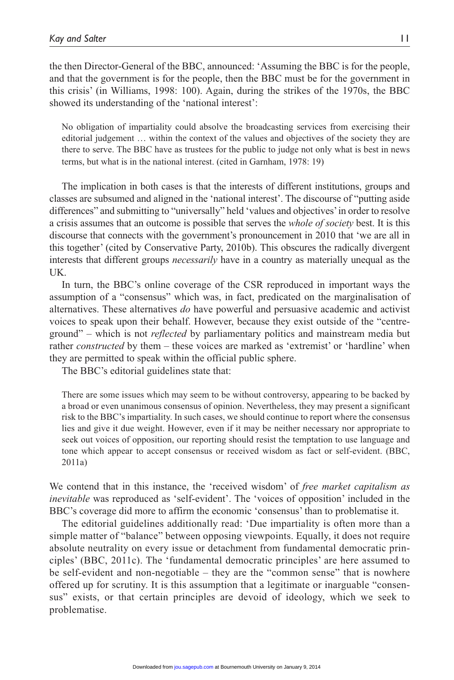the then Director-General of the BBC, announced: 'Assuming the BBC is for the people, and that the government is for the people, then the BBC must be for the government in this crisis' (in Williams, 1998: 100). Again, during the strikes of the 1970s, the BBC showed its understanding of the 'national interest':

No obligation of impartiality could absolve the broadcasting services from exercising their editorial judgement … within the context of the values and objectives of the society they are there to serve. The BBC have as trustees for the public to judge not only what is best in news terms, but what is in the national interest. (cited in Garnham, 1978: 19)

The implication in both cases is that the interests of different institutions, groups and classes are subsumed and aligned in the 'national interest'. The discourse of "putting aside differences" and submitting to "universally" held 'values and objectives' in order to resolve a crisis assumes that an outcome is possible that serves the *whole of society* best. It is this discourse that connects with the government's pronouncement in 2010 that 'we are all in this together' (cited by Conservative Party, 2010b). This obscures the radically divergent interests that different groups *necessarily* have in a country as materially unequal as the UK.

In turn, the BBC's online coverage of the CSR reproduced in important ways the assumption of a "consensus" which was, in fact, predicated on the marginalisation of alternatives. These alternatives *do* have powerful and persuasive academic and activist voices to speak upon their behalf. However, because they exist outside of the "centreground" – which is not *reflected* by parliamentary politics and mainstream media but rather *constructed* by them – these voices are marked as 'extremist' or 'hardline' when they are permitted to speak within the official public sphere.

The BBC's editorial guidelines state that:

There are some issues which may seem to be without controversy, appearing to be backed by a broad or even unanimous consensus of opinion. Nevertheless, they may present a significant risk to the BBC's impartiality. In such cases, we should continue to report where the consensus lies and give it due weight. However, even if it may be neither necessary nor appropriate to seek out voices of opposition, our reporting should resist the temptation to use language and tone which appear to accept consensus or received wisdom as fact or self-evident. (BBC, 2011a)

We contend that in this instance, the 'received wisdom' of *free market capitalism as inevitable* was reproduced as 'self-evident'. The 'voices of opposition' included in the BBC's coverage did more to affirm the economic 'consensus' than to problematise it.

The editorial guidelines additionally read: 'Due impartiality is often more than a simple matter of "balance" between opposing viewpoints. Equally, it does not require absolute neutrality on every issue or detachment from fundamental democratic principles' (BBC, 2011c). The 'fundamental democratic principles' are here assumed to be self-evident and non-negotiable – they are the "common sense" that is nowhere offered up for scrutiny. It is this assumption that a legitimate or inarguable "consensus" exists, or that certain principles are devoid of ideology, which we seek to problematise.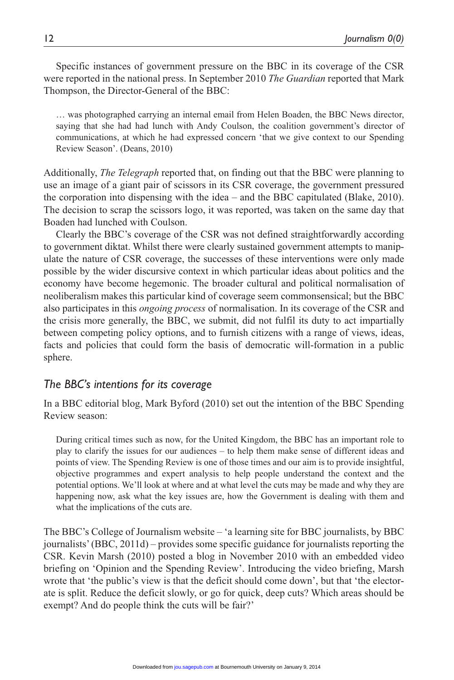Specific instances of government pressure on the BBC in its coverage of the CSR were reported in the national press. In September 2010 *The Guardian* reported that Mark Thompson, the Director-General of the BBC:

… was photographed carrying an internal email from Helen Boaden, the BBC News director, saying that she had had lunch with Andy Coulson, the coalition government's director of communications, at which he had expressed concern 'that we give context to our Spending Review Season'. (Deans, 2010)

Additionally, *The Telegraph* reported that, on finding out that the BBC were planning to use an image of a giant pair of scissors in its CSR coverage, the government pressured the corporation into dispensing with the idea – and the BBC capitulated (Blake, 2010). The decision to scrap the scissors logo, it was reported, was taken on the same day that Boaden had lunched with Coulson.

Clearly the BBC's coverage of the CSR was not defined straightforwardly according to government diktat. Whilst there were clearly sustained government attempts to manipulate the nature of CSR coverage, the successes of these interventions were only made possible by the wider discursive context in which particular ideas about politics and the economy have become hegemonic. The broader cultural and political normalisation of neoliberalism makes this particular kind of coverage seem commonsensical; but the BBC also participates in this *ongoing process* of normalisation. In its coverage of the CSR and the crisis more generally, the BBC, we submit, did not fulfil its duty to act impartially between competing policy options, and to furnish citizens with a range of views, ideas, facts and policies that could form the basis of democratic will-formation in a public sphere.

#### *The BBC's intentions for its coverage*

In a BBC editorial blog, Mark Byford (2010) set out the intention of the BBC Spending Review season:

During critical times such as now, for the United Kingdom, the BBC has an important role to play to clarify the issues for our audiences – to help them make sense of different ideas and points of view. The Spending Review is one of those times and our aim is to provide insightful, objective programmes and expert analysis to help people understand the context and the potential options. We'll look at where and at what level the cuts may be made and why they are happening now, ask what the key issues are, how the Government is dealing with them and what the implications of the cuts are.

The BBC's College of Journalism website – 'a learning site for BBC journalists, by BBC journalists' (BBC, 2011d) – provides some specific guidance for journalists reporting the CSR. Kevin Marsh (2010) posted a blog in November 2010 with an embedded video briefing on 'Opinion and the Spending Review'. Introducing the video briefing, Marsh wrote that 'the public's view is that the deficit should come down', but that 'the electorate is split. Reduce the deficit slowly, or go for quick, deep cuts? Which areas should be exempt? And do people think the cuts will be fair?'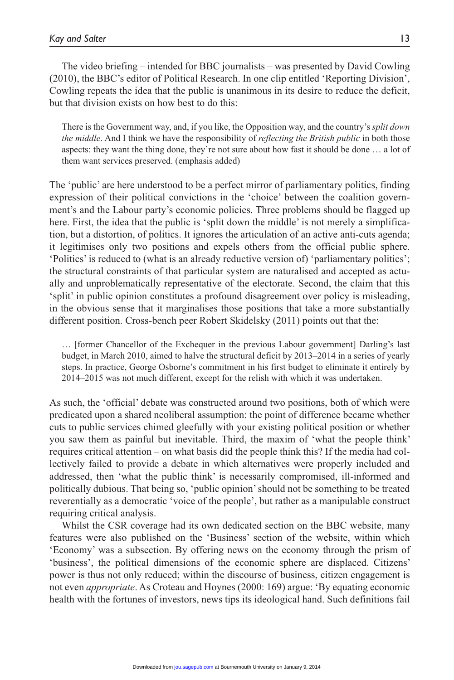The video briefing – intended for BBC journalists – was presented by David Cowling (2010), the BBC's editor of Political Research. In one clip entitled 'Reporting Division', Cowling repeats the idea that the public is unanimous in its desire to reduce the deficit, but that division exists on how best to do this:

There is the Government way, and, if you like, the Opposition way, and the country's *split down the middle*. And I think we have the responsibility of *reflecting the British public* in both those aspects: they want the thing done, they're not sure about how fast it should be done … a lot of them want services preserved. (emphasis added)

The 'public' are here understood to be a perfect mirror of parliamentary politics, finding expression of their political convictions in the 'choice' between the coalition government's and the Labour party's economic policies. Three problems should be flagged up here. First, the idea that the public is 'split down the middle' is not merely a simplification, but a distortion, of politics. It ignores the articulation of an active anti-cuts agenda; it legitimises only two positions and expels others from the official public sphere. 'Politics' is reduced to (what is an already reductive version of) 'parliamentary politics'; the structural constraints of that particular system are naturalised and accepted as actually and unproblematically representative of the electorate. Second, the claim that this 'split' in public opinion constitutes a profound disagreement over policy is misleading, in the obvious sense that it marginalises those positions that take a more substantially different position. Cross-bench peer Robert Skidelsky (2011) points out that the:

… [former Chancellor of the Exchequer in the previous Labour government] Darling's last budget, in March 2010, aimed to halve the structural deficit by 2013–2014 in a series of yearly steps. In practice, George Osborne's commitment in his first budget to eliminate it entirely by 2014–2015 was not much different, except for the relish with which it was undertaken.

As such, the 'official' debate was constructed around two positions, both of which were predicated upon a shared neoliberal assumption: the point of difference became whether cuts to public services chimed gleefully with your existing political position or whether you saw them as painful but inevitable. Third, the maxim of 'what the people think' requires critical attention – on what basis did the people think this? If the media had collectively failed to provide a debate in which alternatives were properly included and addressed, then 'what the public think' is necessarily compromised, ill-informed and politically dubious. That being so, 'public opinion' should not be something to be treated reverentially as a democratic 'voice of the people', but rather as a manipulable construct requiring critical analysis.

Whilst the CSR coverage had its own dedicated section on the BBC website, many features were also published on the 'Business' section of the website, within which 'Economy' was a subsection. By offering news on the economy through the prism of 'business', the political dimensions of the economic sphere are displaced. Citizens' power is thus not only reduced; within the discourse of business, citizen engagement is not even *appropriate*. As Croteau and Hoynes (2000: 169) argue: 'By equating economic health with the fortunes of investors, news tips its ideological hand. Such definitions fail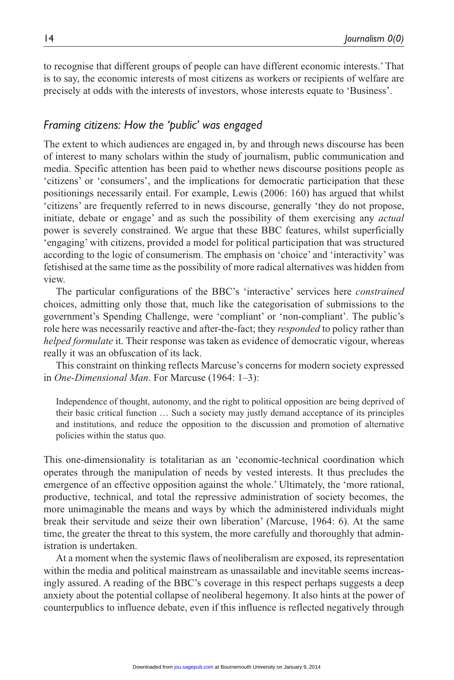to recognise that different groups of people can have different economic interests.' That is to say, the economic interests of most citizens as workers or recipients of welfare are precisely at odds with the interests of investors, whose interests equate to 'Business'.

#### *Framing citizens: How the 'public' was engaged*

The extent to which audiences are engaged in, by and through news discourse has been of interest to many scholars within the study of journalism, public communication and media. Specific attention has been paid to whether news discourse positions people as 'citizens' or 'consumers', and the implications for democratic participation that these positionings necessarily entail. For example, Lewis (2006: 160) has argued that whilst 'citizens' are frequently referred to in news discourse, generally 'they do not propose, initiate, debate or engage' and as such the possibility of them exercising any *actual* power is severely constrained. We argue that these BBC features, whilst superficially 'engaging' with citizens, provided a model for political participation that was structured according to the logic of consumerism. The emphasis on 'choice' and 'interactivity' was fetishised at the same time as the possibility of more radical alternatives was hidden from view.

The particular configurations of the BBC's 'interactive' services here *constrained* choices, admitting only those that, much like the categorisation of submissions to the government's Spending Challenge, were 'compliant' or 'non-compliant'. The public's role here was necessarily reactive and after-the-fact; they *responded* to policy rather than *helped formulate* it. Their response was taken as evidence of democratic vigour, whereas really it was an obfuscation of its lack.

This constraint on thinking reflects Marcuse's concerns for modern society expressed in *One-Dimensional Man*. For Marcuse (1964: 1–3):

Independence of thought, autonomy, and the right to political opposition are being deprived of their basic critical function … Such a society may justly demand acceptance of its principles and institutions, and reduce the opposition to the discussion and promotion of alternative policies within the status quo.

This one-dimensionality is totalitarian as an 'economic-technical coordination which operates through the manipulation of needs by vested interests. It thus precludes the emergence of an effective opposition against the whole.' Ultimately, the 'more rational, productive, technical, and total the repressive administration of society becomes, the more unimaginable the means and ways by which the administered individuals might break their servitude and seize their own liberation' (Marcuse, 1964: 6). At the same time, the greater the threat to this system, the more carefully and thoroughly that administration is undertaken.

At a moment when the systemic flaws of neoliberalism are exposed, its representation within the media and political mainstream as unassailable and inevitable seems increasingly assured. A reading of the BBC's coverage in this respect perhaps suggests a deep anxiety about the potential collapse of neoliberal hegemony. It also hints at the power of counterpublics to influence debate, even if this influence is reflected negatively through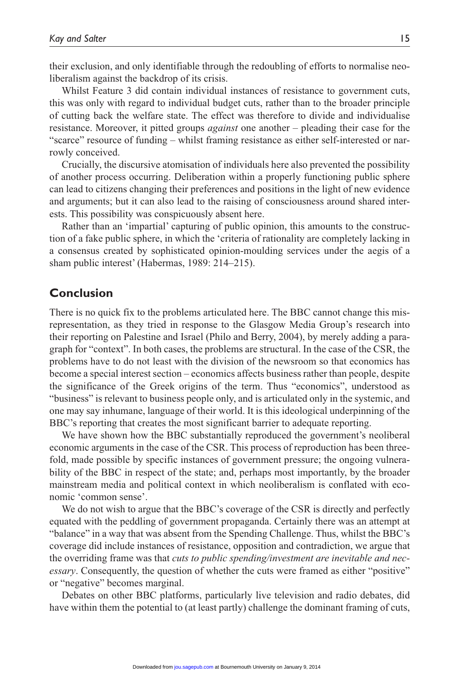their exclusion, and only identifiable through the redoubling of efforts to normalise neoliberalism against the backdrop of its crisis.

Whilst Feature 3 did contain individual instances of resistance to government cuts, this was only with regard to individual budget cuts, rather than to the broader principle of cutting back the welfare state. The effect was therefore to divide and individualise resistance. Moreover, it pitted groups *against* one another – pleading their case for the "scarce" resource of funding – whilst framing resistance as either self-interested or narrowly conceived.

Crucially, the discursive atomisation of individuals here also prevented the possibility of another process occurring. Deliberation within a properly functioning public sphere can lead to citizens changing their preferences and positions in the light of new evidence and arguments; but it can also lead to the raising of consciousness around shared interests. This possibility was conspicuously absent here.

Rather than an 'impartial' capturing of public opinion, this amounts to the construction of a fake public sphere, in which the 'criteria of rationality are completely lacking in a consensus created by sophisticated opinion-moulding services under the aegis of a sham public interest' (Habermas, 1989: 214–215).

#### **Conclusion**

There is no quick fix to the problems articulated here. The BBC cannot change this misrepresentation, as they tried in response to the Glasgow Media Group's research into their reporting on Palestine and Israel (Philo and Berry, 2004), by merely adding a paragraph for "context". In both cases, the problems are structural. In the case of the CSR, the problems have to do not least with the division of the newsroom so that economics has become a special interest section – economics affects business rather than people, despite the significance of the Greek origins of the term. Thus "economics", understood as "business" is relevant to business people only, and is articulated only in the systemic, and one may say inhumane, language of their world. It is this ideological underpinning of the BBC's reporting that creates the most significant barrier to adequate reporting.

We have shown how the BBC substantially reproduced the government's neoliberal economic arguments in the case of the CSR. This process of reproduction has been threefold, made possible by specific instances of government pressure; the ongoing vulnerability of the BBC in respect of the state; and, perhaps most importantly, by the broader mainstream media and political context in which neoliberalism is conflated with economic 'common sense'.

We do not wish to argue that the BBC's coverage of the CSR is directly and perfectly equated with the peddling of government propaganda. Certainly there was an attempt at "balance" in a way that was absent from the Spending Challenge. Thus, whilst the BBC's coverage did include instances of resistance, opposition and contradiction, we argue that the overriding frame was that *cuts to public spending/investment are inevitable and necessary*. Consequently, the question of whether the cuts were framed as either "positive" or "negative" becomes marginal.

Debates on other BBC platforms, particularly live television and radio debates, did have within them the potential to (at least partly) challenge the dominant framing of cuts,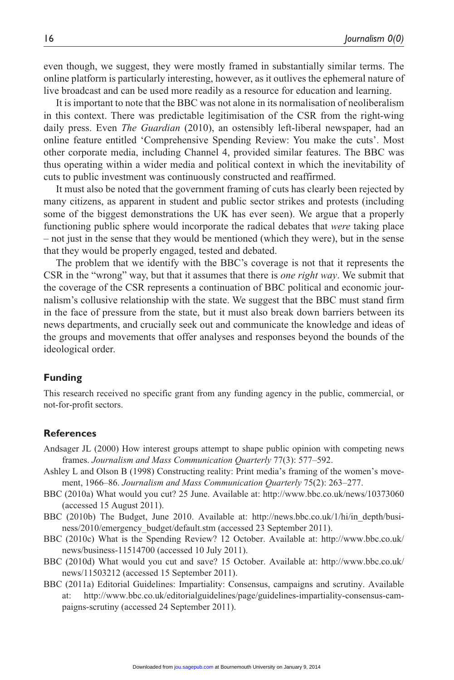even though, we suggest, they were mostly framed in substantially similar terms. The online platform is particularly interesting, however, as it outlives the ephemeral nature of live broadcast and can be used more readily as a resource for education and learning.

It is important to note that the BBC was not alone in its normalisation of neoliberalism in this context. There was predictable legitimisation of the CSR from the right-wing daily press. Even *The Guardian* (2010), an ostensibly left-liberal newspaper, had an online feature entitled 'Comprehensive Spending Review: You make the cuts'. Most other corporate media, including Channel 4, provided similar features. The BBC was thus operating within a wider media and political context in which the inevitability of cuts to public investment was continuously constructed and reaffirmed.

It must also be noted that the government framing of cuts has clearly been rejected by many citizens, as apparent in student and public sector strikes and protests (including some of the biggest demonstrations the UK has ever seen). We argue that a properly functioning public sphere would incorporate the radical debates that *were* taking place – not just in the sense that they would be mentioned (which they were), but in the sense that they would be properly engaged, tested and debated.

The problem that we identify with the BBC's coverage is not that it represents the CSR in the "wrong" way, but that it assumes that there is *one right way*. We submit that the coverage of the CSR represents a continuation of BBC political and economic journalism's collusive relationship with the state. We suggest that the BBC must stand firm in the face of pressure from the state, but it must also break down barriers between its news departments, and crucially seek out and communicate the knowledge and ideas of the groups and movements that offer analyses and responses beyond the bounds of the ideological order.

#### **Funding**

This research received no specific grant from any funding agency in the public, commercial, or not-for-profit sectors.

#### **References**

- Andsager JL (2000) How interest groups attempt to shape public opinion with competing news frames. *Journalism and Mass Communication Quarterly* 77(3): 577–592.
- Ashley L and Olson B (1998) Constructing reality: Print media's framing of the women's movement, 1966–86. *Journalism and Mass Communication Quarterly* 75(2): 263–277.
- BBC (2010a) What would you cut? 25 June. Available at: http://www.bbc.co.uk/news/10373060 (accessed 15 August 2011).
- BBC (2010b) The Budget, June 2010. Available at: http://news.bbc.co.uk/1/hi/in\_depth/business/2010/emergency\_budget/default.stm (accessed 23 September 2011).
- BBC (2010c) What is the Spending Review? 12 October. Available at: http://www.bbc.co.uk/ news/business-11514700 (accessed 10 July 2011).
- BBC (2010d) What would you cut and save? 15 October. Available at: http://www.bbc.co.uk/ news/11503212 (accessed 15 September 2011).
- BBC (2011a) Editorial Guidelines: Impartiality: Consensus, campaigns and scrutiny. Available at: http://www.bbc.co.uk/editorialguidelines/page/guidelines-impartiality-consensus-campaigns-scrutiny (accessed 24 September 2011).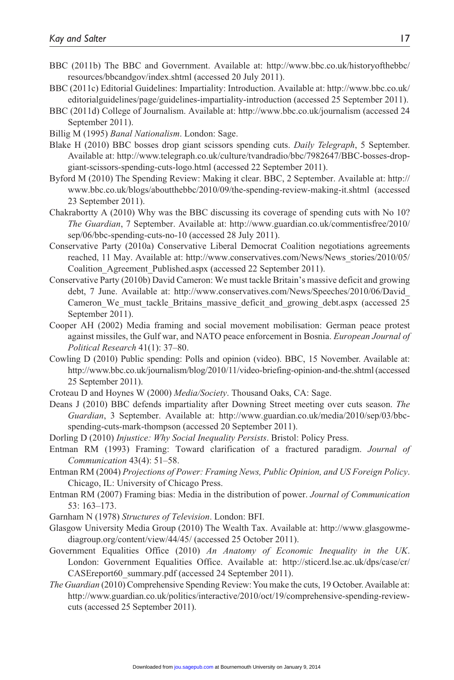- BBC (2011b) The BBC and Government. Available at: http://www.bbc.co.uk/historyofthebbc/ resources/bbcandgov/index.shtml (accessed 20 July 2011).
- BBC (2011c) Editorial Guidelines: Impartiality: Introduction. Available at: http://www.bbc.co.uk/ editorialguidelines/page/guidelines-impartiality-introduction (accessed 25 September 2011).
- BBC (2011d) College of Journalism. Available at: http://www.bbc.co.uk/journalism (accessed 24 September 2011).

Billig M (1995) *Banal Nationalism*. London: Sage.

- Blake H (2010) BBC bosses drop giant scissors spending cuts. *Daily Telegraph*, 5 September. Available at: http://www.telegraph.co.uk/culture/tvandradio/bbc/7982647/BBC-bosses-dropgiant-scissors-spending-cuts-logo.html (accessed 22 September 2011).
- Byford M (2010) The Spending Review: Making it clear. BBC, 2 September. Available at: http:// www.bbc.co.uk/blogs/aboutthebbc/2010/09/the-spending-review-making-it.shtml (accessed 23 September 2011).
- Chakrabortty A (2010) Why was the BBC discussing its coverage of spending cuts with No 10? *The Guardian*, 7 September. Available at: http://www.guardian.co.uk/commentisfree/2010/ sep/06/bbc-spending-cuts-no-10 (accessed 28 July 2011).
- Conservative Party (2010a) Conservative Liberal Democrat Coalition negotiations agreements reached, 11 May. Available at: http://www.conservatives.com/News/News\_stories/2010/05/ Coalition\_Agreement\_Published.aspx (accessed 22 September 2011).
- Conservative Party (2010b) David Cameron: We must tackle Britain's massive deficit and growing debt, 7 June. Available at: http://www.conservatives.com/News/Speeches/2010/06/David\_ Cameron We must tackle Britains massive deficit and growing debt.aspx (accessed 25 September 2011).
- Cooper AH (2002) Media framing and social movement mobilisation: German peace protest against missiles, the Gulf war, and NATO peace enforcement in Bosnia. *European Journal of Political Research* 41(1): 37–80.
- Cowling D (2010) Public spending: Polls and opinion (video). BBC, 15 November. Available at: http://www.bbc.co.uk/journalism/blog/2010/11/video-briefing-opinion-and-the.shtml (accessed 25 September 2011).
- Croteau D and Hoynes W (2000) *Media/Society*. Thousand Oaks, CA: Sage.
- Deans J (2010) BBC defends impartiality after Downing Street meeting over cuts season. *The Guardian*, 3 September. Available at: http://www.guardian.co.uk/media/2010/sep/03/bbcspending-cuts-mark-thompson (accessed 20 September 2011).
- Dorling D (2010) *Injustice: Why Social Inequality Persists*. Bristol: Policy Press.
- Entman RM (1993) Framing: Toward clarification of a fractured paradigm. *Journal of Communication* 43(4): 51–58.
- Entman RM (2004) *Projections of Power: Framing News, Public Opinion, and US Foreign Policy*. Chicago, IL: University of Chicago Press.
- Entman RM (2007) Framing bias: Media in the distribution of power. *Journal of Communication* 53: 163–173.
- Garnham N (1978) *Structures of Television*. London: BFI.
- Glasgow University Media Group (2010) The Wealth Tax. Available at: http://www.glasgowmediagroup.org/content/view/44/45/ (accessed 25 October 2011).
- Government Equalities Office (2010) *An Anatomy of Economic Inequality in the UK*. London: Government Equalities Office. Available at: http://sticerd.lse.ac.uk/dps/case/cr/ CASEreport60\_summary.pdf (accessed 24 September 2011).
- *The Guardian* (2010) Comprehensive Spending Review: You make the cuts, 19 October. Available at: http://www.guardian.co.uk/politics/interactive/2010/oct/19/comprehensive-spending-reviewcuts (accessed 25 September 2011).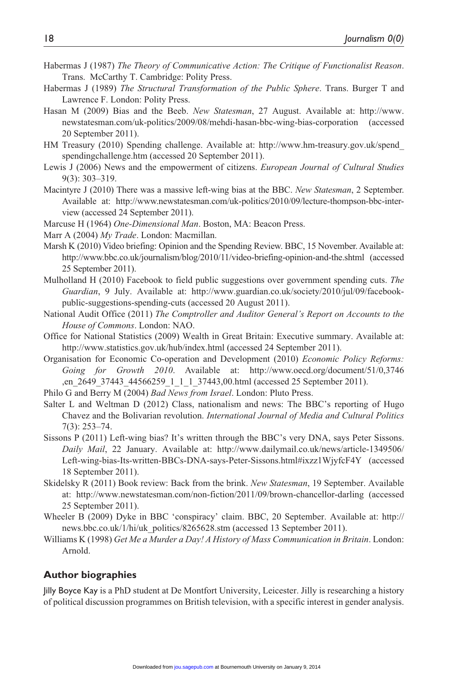- Habermas J (1987) *The Theory of Communicative Action: The Critique of Functionalist Reason*. Trans. McCarthy T. Cambridge: Polity Press.
- Habermas J (1989) *The Structural Transformation of the Public Sphere*. Trans. Burger T and Lawrence F. London: Polity Press.
- Hasan M (2009) Bias and the Beeb. *New Statesman*, 27 August. Available at: http://www. newstatesman.com/uk-politics/2009/08/mehdi-hasan-bbc-wing-bias-corporation (accessed 20 September 2011).
- HM Treasury (2010) Spending challenge. Available at: http://www.hm-treasury.gov.uk/spend\_ spendingchallenge.htm (accessed 20 September 2011).
- Lewis J (2006) News and the empowerment of citizens. *European Journal of Cultural Studies* 9(3): 303–319.
- Macintyre J (2010) There was a massive left-wing bias at the BBC. *New Statesman*, 2 September. Available at: http://www.newstatesman.com/uk-politics/2010/09/lecture-thompson-bbc-interview (accessed 24 September 2011).
- Marcuse H (1964) *One-Dimensional Man*. Boston, MA: Beacon Press.
- Marr A (2004) *My Trade*. London: Macmillan.
- Marsh K (2010) Video briefing: Opinion and the Spending Review. BBC, 15 November. Available at: http://www.bbc.co.uk/journalism/blog/2010/11/video-briefing-opinion-and-the.shtml (accessed 25 September 2011).
- Mulholland H (2010) Facebook to field public suggestions over government spending cuts. *The Guardian*, 9 July. Available at: http://www.guardian.co.uk/society/2010/jul/09/facebookpublic-suggestions-spending-cuts (accessed 20 August 2011).
- National Audit Office (2011) *The Comptroller and Auditor General's Report on Accounts to the House of Commons*. London: NAO.
- Office for National Statistics (2009) Wealth in Great Britain: Executive summary. Available at: http://www.statistics.gov.uk/hub/index.html (accessed 24 September 2011).
- Organisation for Economic Co-operation and Development (2010) *Economic Policy Reforms: Going for Growth 2010*. Available at: http://www.oecd.org/document/51/0,3746 ,en\_2649\_37443\_44566259\_1\_1\_1\_37443,00.html (accessed 25 September 2011).
- Philo G and Berry M (2004) *Bad News from Israel*. London: Pluto Press.
- Salter L and Weltman D (2012) Class, nationalism and news: The BBC's reporting of Hugo Chavez and the Bolivarian revolution. *International Journal of Media and Cultural Politics* 7(3): 253–74.
- Sissons P (2011) Left-wing bias? It's written through the BBC's very DNA, says Peter Sissons. *Daily Mail*, 22 January. Available at: http://www.dailymail.co.uk/news/article-1349506/ Left-wing-bias-Its-written-BBCs-DNA-says-Peter-Sissons.html#ixzz1WjyfcF4Y (accessed 18 September 2011).
- Skidelsky R (2011) Book review: Back from the brink. *New Statesman*, 19 September. Available at: http://www.newstatesman.com/non-fiction/2011/09/brown-chancellor-darling (accessed 25 September 2011).
- Wheeler B (2009) Dyke in BBC 'conspiracy' claim. BBC, 20 September. Available at: http:// news.bbc.co.uk/1/hi/uk\_politics/8265628.stm (accessed 13 September 2011).
- Williams K (1998) *Get Me a Murder a Day! A History of Mass Communication in Britain*. London: Arnold.

#### **Author biographies**

Jilly Boyce Kay is a PhD student at De Montfort University, Leicester. Jilly is researching a history of political discussion programmes on British television, with a specific interest in gender analysis.